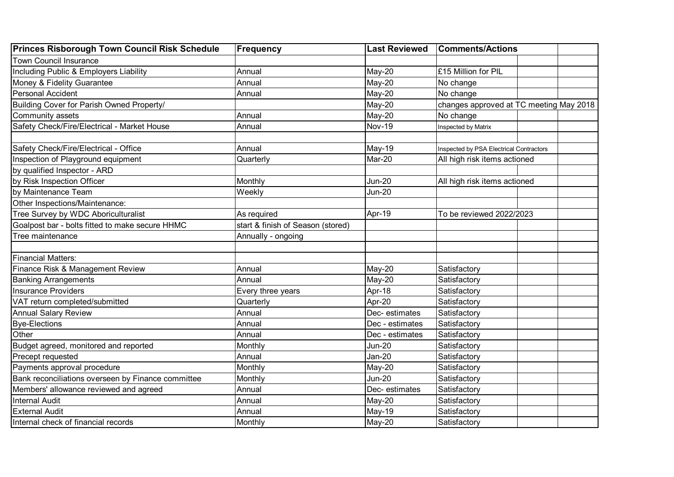| <b>Princes Risborough Town Council Risk Schedule</b> | <b>Frequency</b>                  | <b>Last Reviewed</b> | <b>Comments/Actions</b>                 |  |
|------------------------------------------------------|-----------------------------------|----------------------|-----------------------------------------|--|
| <b>Town Council Insurance</b>                        |                                   |                      |                                         |  |
| Including Public & Employers Liability               | Annual                            | May-20               | £15 Million for PIL                     |  |
| Money & Fidelity Guarantee                           | Annual                            | May-20               | No change                               |  |
| Personal Accident                                    | Annual                            | May-20               | No change                               |  |
| Building Cover for Parish Owned Property/            |                                   | May-20               | changes approved at TC meeting May 2018 |  |
| Community assets                                     | Annual                            | May-20               | No change                               |  |
| Safety Check/Fire/Electrical - Market House          | Annual                            | <b>Nov-19</b>        | Inspected by Matrix                     |  |
|                                                      |                                   |                      |                                         |  |
| Safety Check/Fire/Electrical - Office                | Annual                            | May-19               | Inspected by PSA Electrical Contractors |  |
| Inspection of Playground equipment                   | Quarterly                         | Mar-20               | All high risk items actioned            |  |
| by qualified Inspector - ARD                         |                                   |                      |                                         |  |
| by Risk Inspection Officer                           | Monthly                           | <b>Jun-20</b>        | All high risk items actioned            |  |
| by Maintenance Team                                  | Weekly                            | <b>Jun-20</b>        |                                         |  |
| Other Inspections/Maintenance:                       |                                   |                      |                                         |  |
| Tree Survey by WDC Aboriculturalist                  | As required                       | Apr-19               | To be reviewed 2022/2023                |  |
| Goalpost bar - bolts fitted to make secure HHMC      | start & finish of Season (stored) |                      |                                         |  |
| Tree maintenance                                     | Annually - ongoing                |                      |                                         |  |
|                                                      |                                   |                      |                                         |  |
| <b>Financial Matters:</b>                            |                                   |                      |                                         |  |
| Finance Risk & Management Review                     | Annual                            | May-20               | Satisfactory                            |  |
| <b>Banking Arrangements</b>                          | Annual                            | May-20               | Satisfactory                            |  |
| <b>Insurance Providers</b>                           | Every three years                 | Apr-18               | Satisfactory                            |  |
| VAT return completed/submitted                       | Quarterly                         | Apr-20               | Satisfactory                            |  |
| <b>Annual Salary Review</b>                          | Annual                            | Dec-estimates        | Satisfactory                            |  |
| <b>Bye-Elections</b>                                 | Annual                            | Dec - estimates      | Satisfactory                            |  |
| Other                                                | Annual                            | Dec - estimates      | Satisfactory                            |  |
| Budget agreed, monitored and reported                | Monthly                           | <b>Jun-20</b>        | Satisfactory                            |  |
| Precept requested                                    | Annual                            | Jan-20               | Satisfactory                            |  |
| Payments approval procedure                          | Monthly                           | May-20               | Satisfactory                            |  |
| Bank reconciliations overseen by Finance committee   | Monthly                           | <b>Jun-20</b>        | Satisfactory                            |  |
| Members' allowance reviewed and agreed               | Annual                            | Dec-estimates        | Satisfactory                            |  |
| <b>Internal Audit</b>                                | Annual                            | May-20               | Satisfactory                            |  |
| <b>External Audit</b>                                | Annual                            | May-19               | Satisfactory                            |  |
| Internal check of financial records                  | Monthly                           | May-20               | Satisfactory                            |  |